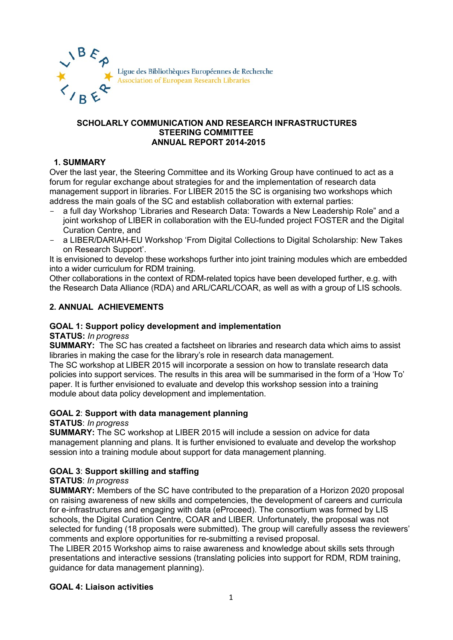

#### **SCHOLARLY COMMUNICATION AND RESEARCH INFRASTRUCTURES STEERING COMMITTEE ANNUAL REPORT 2014-2015**

# **1. SUMMARY**

Over the last year, the Steering Committee and its Working Group have continued to act as a forum for regular exchange about strategies for and the implementation of research data management support in libraries. For LIBER 2015 the SC is organising two workshops which address the main goals of the SC and establish collaboration with external parties:

- a full day Workshop 'Libraries and Research Data: Towards a New Leadership Role" and a joint workshop of LIBER in collaboration with the EU-funded project FOSTER and the Digital Curation Centre, and
- a LIBER/DARIAH-EU Workshop 'From Digital Collections to Digital Scholarship: New Takes on Research Support'.

It is envisioned to develop these workshops further into joint training modules which are embedded into a wider curriculum for RDM training.

Other collaborations in the context of RDM-related topics have been developed further, e.g. with the Research Data Alliance (RDA) and ARL/CARL/COAR, as well as with a group of LIS schools.

## **2. ANNUAL ACHIEVEMENTS**

## **GOAL 1: Support policy development and implementation**

#### **STATUS:** *In progress*

**SUMMARY:** The SC has created a factsheet on libraries and research data which aims to assist libraries in making the case for the library's role in research data management.

The SC workshop at LIBER 2015 will incorporate a session on how to translate research data policies into support services. The results in this area will be summarised in the form of a 'How To' paper. It is further envisioned to evaluate and develop this workshop session into a training module about data policy development and implementation.

## **GOAL 2**: **Support with data management planning**

#### **STATUS**: *In progress*

**SUMMARY:** The SC workshop at LIBER 2015 will include a session on advice for data management planning and plans. It is further envisioned to evaluate and develop the workshop session into a training module about support for data management planning.

## **GOAL 3**: **Support skilling and staffing**

## **STATUS**: *In progress*

**SUMMARY:** Members of the SC have contributed to the preparation of a Horizon 2020 proposal on raising awareness of new skills and competencies, the development of careers and curricula for e-infrastructures and engaging with data (eProceed). The consortium was formed by LIS schools, the Digital Curation Centre, COAR and LIBER. Unfortunately, the proposal was not selected for funding (18 proposals were submitted). The group will carefully assess the reviewers' comments and explore opportunities for re-submitting a revised proposal.

The LIBER 2015 Workshop aims to raise awareness and knowledge about skills sets through presentations and interactive sessions (translating policies into support for RDM, RDM training, guidance for data management planning).

## **GOAL 4: Liaison activities**